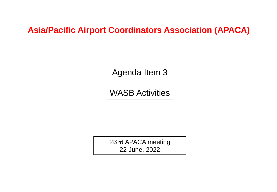### **Asia/Pacific Airport Coordinators Association (APACA)**

Agenda Item 3

WASB Activities

23rd APACA meeting 22 June, 2022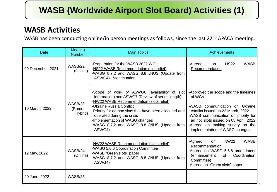### **WASB Activities**

WASB has been conducting online/in person meetings as follows, since the last 22<sup>nd</sup> APACA meeting.

| Date              | <b>Meeting</b><br><b>Number</b> | <b>Main Topics</b>                                                                                                                                                                                                                                                                                                                                            | Achievements                                                                                                                                                                                                                                                                 |  |
|-------------------|---------------------------------|---------------------------------------------------------------------------------------------------------------------------------------------------------------------------------------------------------------------------------------------------------------------------------------------------------------------------------------------------------------|------------------------------------------------------------------------------------------------------------------------------------------------------------------------------------------------------------------------------------------------------------------------------|--|
| 09 December, 2021 | WASB/22<br>(Online)             | -Preparation for the WASB 2022 WGs<br>-NS22 WASB Recommendation (slot relief)<br>-WASG 8.7.2 and WASG 8.8 JNUS (Update from<br>ASWG4) *continuation                                                                                                                                                                                                           | <b>NS22</b><br>-Agreed<br><b>WASB</b><br>on<br>Recommendation                                                                                                                                                                                                                |  |
| 10 March, 2022    | WASB/23<br>(Rome,<br>Hybrid)    | -Scope of work of ASWG6 (availability of slot<br>information) and ASWG7 (Review of series length)<br>-NW22 WASB Recommendation (slots relief)<br>-Ukraine Russia Conflict<br>-Priority for ad hoc slots that have been allocated and<br>operated during the crisis<br>-Implementation of WASG changes<br>-WASG 8.7.2 and WASG 8.8 JNUS (Update from<br>ASWG4) | -Approved the scope and the timelines<br>of WGs<br>-WASB communication on Ukraine<br>conflict issued on 22 March, 2022<br>-WASB communication on priority for<br>ad hoc slots issued on 05 April, 2022.<br>-Agreed on making survey on the<br>implementation of WASG changes |  |
| 12 May, 2022      | WASB/24<br>(Online)             | -NW22 WASB Recommendation (slots relief)<br>-WASG 5.6.6 Coordination Committee<br>-WASB "Green slots" paper<br>-WASG 8.7.2 and WASG 8.8 JNUS (Update from<br>ASWG4)                                                                                                                                                                                           | <b>NW22</b><br>-Agreed<br><b>WASB</b><br>on.<br>Recommendation<br>-Agreed on WASG 5.6.6 amendment<br>(enhancement<br>Coordination<br>of<br>Committee)<br>-Agreed on "Green slots" paper                                                                                      |  |
| 20 June, 2022     | WASB/25                         |                                                                                                                                                                                                                                                                                                                                                               |                                                                                                                                                                                                                                                                              |  |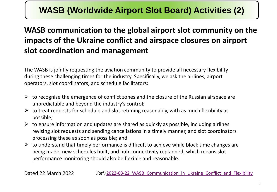# **WASB (Worldwide Airport Slot Board) Activities (2)**

## **WASB communication to the global airport slot community on the impacts of the Ukraine conflict and airspace closures on airport slot coordination and management**

The WASB is jointly requesting the aviation community to provide all necessary flexibility during these challenging times for the industry. Specifically, we ask the airlines, airport operators, slot coordinators, and schedule facilitators:

- $\triangleright$  to recognise the emergence of conflict zones and the closure of the Russian airspace are unpredictable and beyond the industry's control;
- $\triangleright$  to treat requests for schedule and slot retiming reasonably, with as much flexibility as possible;
- $\triangleright$  to ensure information and updates are shared as quickly as possible, including airlines revising slot requests and sending cancellations in a timely manner, and slot coordinators processing these as soon as possible; and
- $\triangleright$  to understand that timely performance is difficult to achieve while block time changes are being made, new schedules built, and hub connectivity replanned, which means slot performance monitoring should also be flexible and reasonable.

Dated 22 March 2022 (Ref) 2022-03-22 WASB Communication in Ukraine Conflict and Flexibility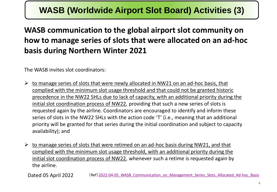# **WASB (Worldwide Airport Slot Board) Activities (3)**

## **WASB communication to the global airport slot community on how to manage series of slots that were allocated on an ad-hoc basis during Northern Winter 2021**

The WASB invites slot coordinators:

- $\triangleright$  to manage series of slots that were newly allocated in NW21 on an ad-hoc basis, that complied with the minimum slot usage threshold and that could not be granted historic precedence in the NW22 SHLs due to lack of capacity, with an additional priority during the initial slot coordination process of NW22, providing that such a new series of slots is requested again by the airline. Coordinators are encouraged to identify and inform these series of slots in the NW22 SHLs with the action code 'T' (i.e., meaning that an additional priority will be granted for that series during the initial coordination and subject to capacity availability); and
- $\triangleright$  to manage series of slots that were retimed on an ad-hoc basis during NW21, and that complied with the minimum slot usage threshold, with an additional priority during the initial slot coordination process of NW22, whenever such a retime is requested again by the airline.

Dated 05 April 2022 (Ref) [2022-04-05\\_WASB\\_Communication\\_on\\_Management\\_Series\\_Slots\\_Allocated\\_Ad-hoc\\_Basis](https://www.iata.org/contentassets/4820c05b19f148e2855db91f2a579369/wasb-communication-on-management-ad-hoc-retimed-series.pdf)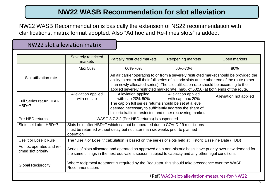### **NW22 WASB Recommendation for slot alleviation**

NW22 WASB Recommendation is basically the extension of NS22 recommendation with clarifications, matrix format adopted. Also "Ad hoc and Re-times slots" is added.

#### NW22 slot alleviation matrix

|                                                      | Severely restricted<br>markets                                                                                                                                                                                      | Partially restricted markets                                                                                                                                                                                                                                                                                                                                          | <b>Reopening markets</b>                | Open markets            |  |  |  |
|------------------------------------------------------|---------------------------------------------------------------------------------------------------------------------------------------------------------------------------------------------------------------------|-----------------------------------------------------------------------------------------------------------------------------------------------------------------------------------------------------------------------------------------------------------------------------------------------------------------------------------------------------------------------|-----------------------------------------|-------------------------|--|--|--|
|                                                      | Max 50%                                                                                                                                                                                                             | 60%-70%                                                                                                                                                                                                                                                                                                                                                               | 60%-70%                                 | 80%                     |  |  |  |
| Slot utilization rate                                |                                                                                                                                                                                                                     | An air carrier operating to or from a severely restricted market should be provided the<br>ability to return all their full series of historic slots at the other end of the route (other<br>than newly allocated series). The slot utilization rate should be according to the<br>applied severely restricted market rate (max. of 50:50) at both ends of the route. |                                         |                         |  |  |  |
| Full Series return HBD-<br>$HBD+7$                   | Alleviation applied<br>with no cap                                                                                                                                                                                  | Alleviation applied<br>with cap 20%-50%                                                                                                                                                                                                                                                                                                                               | Alleviation applied<br>with cap max 20% | Alleviation not applied |  |  |  |
|                                                      |                                                                                                                                                                                                                     | The cap on full series returns should be set at a level<br>deemed necessary to sufficiently address the share of<br>historic traffic to restricted and other recovering markets.                                                                                                                                                                                      |                                         |                         |  |  |  |
| Pre-HBD returns                                      | WASG 8.7.2.2 (Pre-HBD returns) is suspended                                                                                                                                                                         |                                                                                                                                                                                                                                                                                                                                                                       |                                         |                         |  |  |  |
| Slots held after HBD+7                               | Slots held after HBD+7 which cannot be operated due to COVID-19 restrictions<br>must be returned without delay but not later than six weeks prior to planned<br>operation.                                          |                                                                                                                                                                                                                                                                                                                                                                       |                                         |                         |  |  |  |
| Use it or Lose it Rule                               | The "Use it or Lose it" calculation is based on the series of slots held at Historic Baseline Date (HBD)                                                                                                            |                                                                                                                                                                                                                                                                                                                                                                       |                                         |                         |  |  |  |
| Ad hoc operated and re-<br>timed slot priority       | Series of slots allocated and operated as approved on a non-historic basis have priority over new demand for<br>the same timings in the next equivalent season, subject to capacity and any other legal conditions. |                                                                                                                                                                                                                                                                                                                                                                       |                                         |                         |  |  |  |
| <b>Global Reciprocity</b>                            | Where reciprocal treatment is required by the Regulator, this should take precedence over the WASB<br>Recommendation.                                                                                               |                                                                                                                                                                                                                                                                                                                                                                       |                                         |                         |  |  |  |
| (Ref)        WASB-slot-alleviation-measures-for-NW22 |                                                                                                                                                                                                                     |                                                                                                                                                                                                                                                                                                                                                                       |                                         |                         |  |  |  |